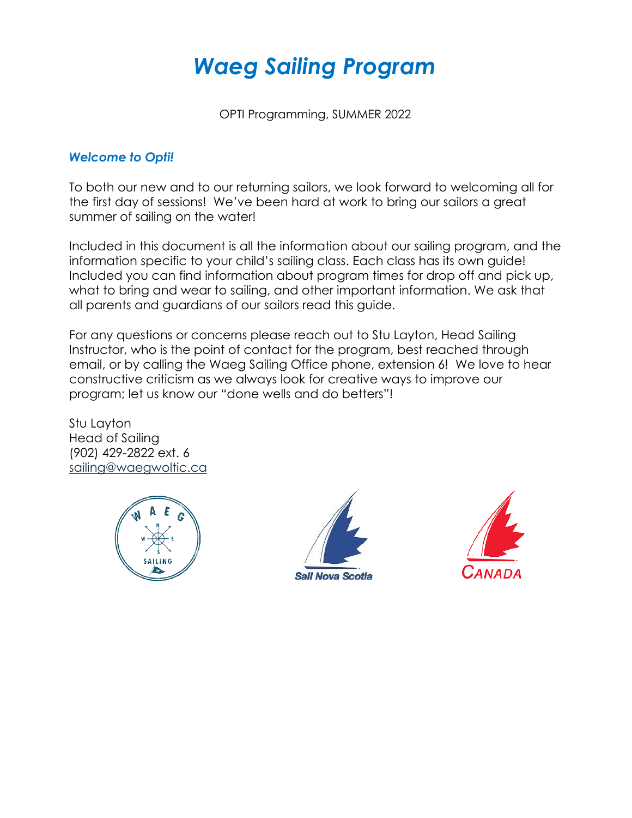# *Waeg Sailing Program*

OPTI Programming, SUMMER 2022

#### *Welcome to Opti!*

To both our new and to our returning sailors, we look forward to welcoming all for the first day of sessions! We've been hard at work to bring our sailors a great summer of sailing on the water!

Included in this document is all the information about our sailing program, and the information specific to your child's sailing class. Each class has its own guide! Included you can find information about program times for drop off and pick up, what to bring and wear to sailing, and other important information. We ask that all parents and guardians of our sailors read this guide.

For any questions or concerns please reach out to Stu Layton, Head Sailing Instructor, who is the point of contact for the program, best reached through email, or by calling the Waeg Sailing Office phone, extension 6! We love to hear constructive criticism as we always look for creative ways to improve our program; let us know our "done wells and do betters"!

Stu Layton Head of Sailing (902) 429-2822 ext. 6 [sailing@waegwoltic.ca](mailto:sailing@waegwoltic.ca) 





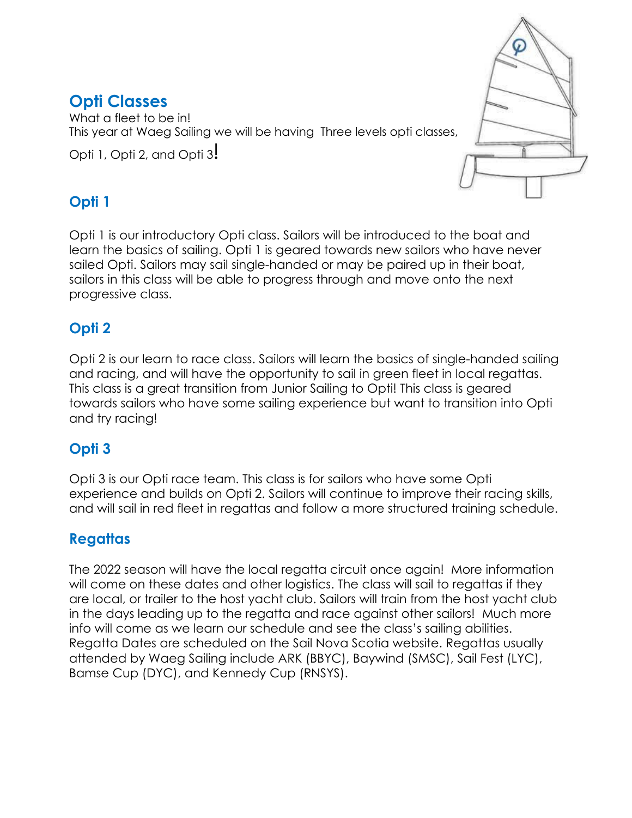# **Opti Classes**

What a fleet to be in! This year at Waeg Sailing we will be having Three levels opti classes,

Opti 1, Opti 2, and Opti 3!



## **Opti 1**

Opti 1 is our introductory Opti class. Sailors will be introduced to the boat and learn the basics of sailing. Opti 1 is geared towards new sailors who have never sailed Opti. Sailors may sail single-handed or may be paired up in their boat, sailors in this class will be able to progress through and move onto the next progressive class.

# **Opti 2**

Opti 2 is our learn to race class. Sailors will learn the basics of single-handed sailing and racing, and will have the opportunity to sail in green fleet in local regattas. This class is a great transition from Junior Sailing to Opti! This class is geared towards sailors who have some sailing experience but want to transition into Opti and try racing!

## **Opti 3**

Opti 3 is our Opti race team. This class is for sailors who have some Opti experience and builds on Opti 2. Sailors will continue to improve their racing skills, and will sail in red fleet in regattas and follow a more structured training schedule.

# **Regattas**

The 2022 season will have the local regatta circuit once again! More information will come on these dates and other logistics. The class will sail to regattas if they are local, or trailer to the host yacht club. Sailors will train from the host yacht club in the days leading up to the regatta and race against other sailors! Much more info will come as we learn our schedule and see the class's sailing abilities. Regatta Dates are scheduled on the Sail Nova Scotia website. Regattas usually attended by Waeg Sailing include ARK (BBYC), Baywind (SMSC), Sail Fest (LYC), Bamse Cup (DYC), and Kennedy Cup (RNSYS).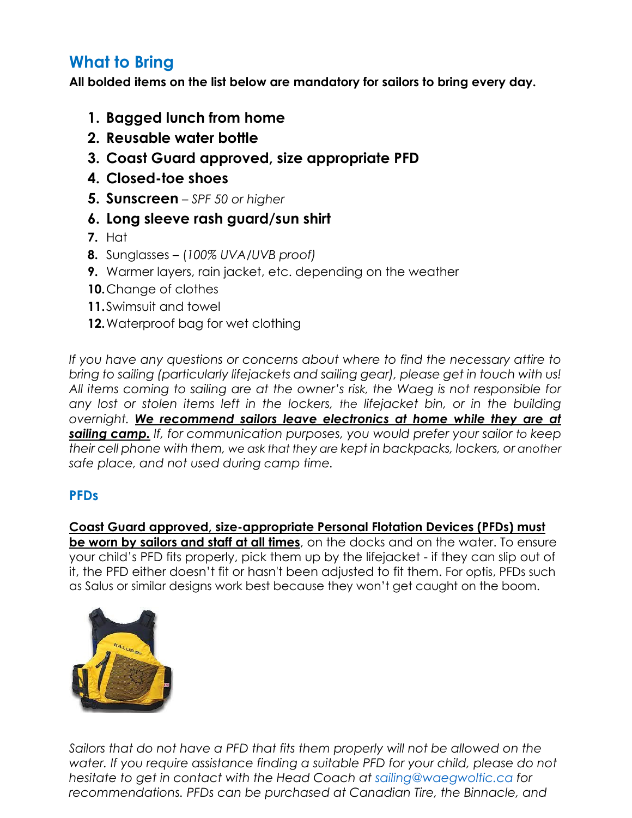# **What to Bring**

**All bolded items on the list below are mandatory for sailors to bring every day.** 

- **1. Bagged lunch from home**
- **2. Reusable water bottle**
- **3. Coast Guard approved, size appropriate PFD**
- **4. Closed-toe shoes**
- **5. Sunscreen**  *SPF 50 or higher*
- **6. Long sleeve rash guard/sun shirt**
- **7.** Hat
- **8.** Sunglasses (*100% UVA/UVB proof)*
- **9.** Warmer layers, rain jacket, etc. depending on the weather
- **10.**Change of clothes
- **11.**Swimsuit and towel
- **12.**Waterproof bag for wet clothing

*If you have any questions or concerns about where to find the necessary attire to bring to sailing (particularly lifejackets and sailing gear), please get in touch with us! All items coming to sailing are at the owner's risk, the Waeg is not responsible for any lost or stolen items left in the lockers, the lifejacket bin, or in the building overnight. We recommend sailors leave electronics at home while they are at sailing camp. If, for communication purposes, you would prefer your sailor to keep their cell phone with them, we ask that they are kept in backpacks, lockers, or another safe place, and not used during camp time.*

## **PFDs**

#### **Coast Guard approved, size-appropriate Personal Flotation Devices (PFDs) must**

**be worn by sailors and staff at all times**, on the docks and on the water. To ensure your child's PFD fits properly, pick them up by the lifejacket - if they can slip out of it, the PFD either doesn't fit or hasn't been adjusted to fit them. For optis, PFDs such as Salus or similar designs work best because they won't get caught on the boom.



*Sailors that do not have a PFD that fits them properly will not be allowed on the water. If you require assistance finding a suitable PFD for your child, please do not hesitate to get in contact with the Head Coach at sailing@waegwoltic.ca for recommendations. PFDs can be purchased at Canadian Tire, the Binnacle, and*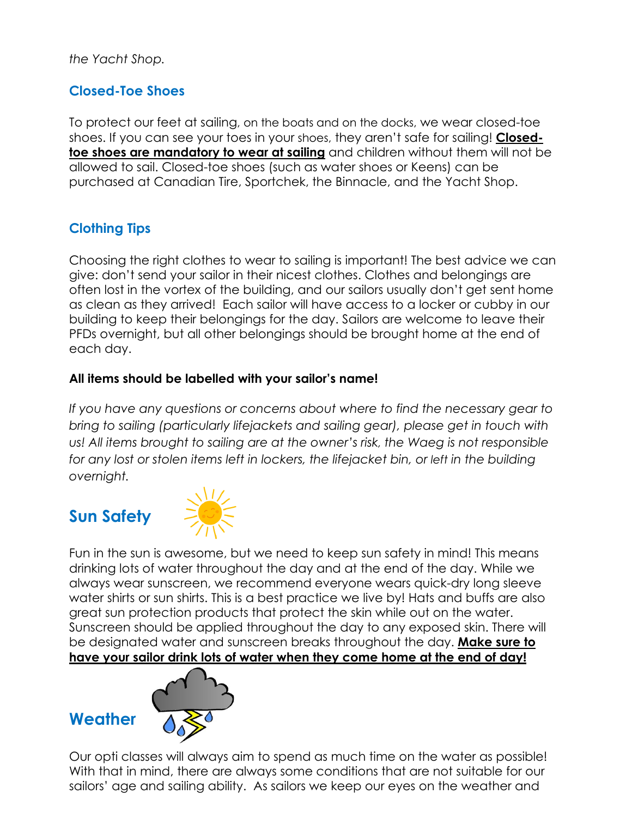*the Yacht Shop.*

## **Closed-Toe Shoes**

To protect our feet at sailing, on the boats and on the docks, we wear closed-toe shoes. If you can see your toes in your shoes, they aren't safe for sailing! **Closedtoe shoes are mandatory to wear at sailing** and children without them will not be allowed to sail. Closed-toe shoes (such as water shoes or Keens) can be purchased at Canadian Tire, Sportchek, the Binnacle, and the Yacht Shop.

## **Clothing Tips**

Choosing the right clothes to wear to sailing is important! The best advice we can give: don't send your sailor in their nicest clothes. Clothes and belongings are often lost in the vortex of the building, and our sailors usually don't get sent home as clean as they arrived! Each sailor will have access to a locker or cubby in our building to keep their belongings for the day. Sailors are welcome to leave their PFDs overnight, but all other belongings should be brought home at the end of each day.

#### **All items should be labelled with your sailor's name!**

*If you have any questions or concerns about where to find the necessary gear to bring to sailing (particularly lifejackets and sailing gear), please get in touch with*  us! All items brought to sailing are at the owner's risk, the Waeg is not responsible *for any lost or stolen items left in lockers, the lifejacket bin, or left in the building overnight.* 

# **Sun Safety**



Fun in the sun is awesome, but we need to keep sun safety in mind! This means drinking lots of water throughout the day and at the end of the day. While we always wear sunscreen, we recommend everyone wears quick-dry long sleeve water shirts or sun shirts. This is a best practice we live by! Hats and buffs are also great sun protection products that protect the skin while out on the water. Sunscreen should be applied throughout the day to any exposed skin. There will be designated water and sunscreen breaks throughout the day. **Make sure to have your sailor drink lots of water when they come home at the end of day!** 

### **Weather**



Our opti classes will always aim to spend as much time on the water as possible! With that in mind, there are always some conditions that are not suitable for our sailors' age and sailing ability. As sailors we keep our eyes on the weather and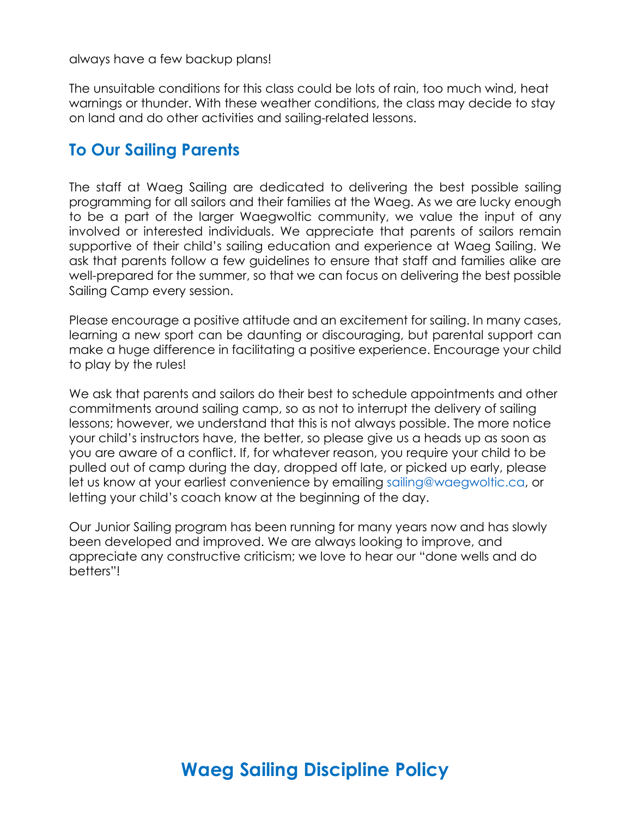always have a few backup plans!

The unsuitable conditions for this class could be lots of rain, too much wind, heat warnings or thunder. With these weather conditions, the class may decide to stay on land and do other activities and sailing-related lessons.

## **To Our Sailing Parents**

The staff at Waeg Sailing are dedicated to delivering the best possible sailing programming for all sailors and their families at the Waeg. As we are lucky enough to be a part of the larger Waegwoltic community, we value the input of any involved or interested individuals. We appreciate that parents of sailors remain supportive of their child's sailing education and experience at Waeg Sailing. We ask that parents follow a few guidelines to ensure that staff and families alike are well-prepared for the summer, so that we can focus on delivering the best possible Sailing Camp every session.

Please encourage a positive attitude and an excitement for sailing. In many cases, learning a new sport can be daunting or discouraging, but parental support can make a huge difference in facilitating a positive experience. Encourage your child to play by the rules!

We ask that parents and sailors do their best to schedule appointments and other commitments around sailing camp, so as not to interrupt the delivery of sailing lessons; however, we understand that this is not always possible. The more notice your child's instructors have, the better, so please give us a heads up as soon as you are aware of a conflict. If, for whatever reason, you require your child to be pulled out of camp during the day, dropped off late, or picked up early, please let us know at your earliest convenience by emailing sailing@waegwoltic.ca, or letting your child's coach know at the beginning of the day.

Our Junior Sailing program has been running for many years now and has slowly been developed and improved. We are always looking to improve, and appreciate any constructive criticism; we love to hear our "done wells and do betters"!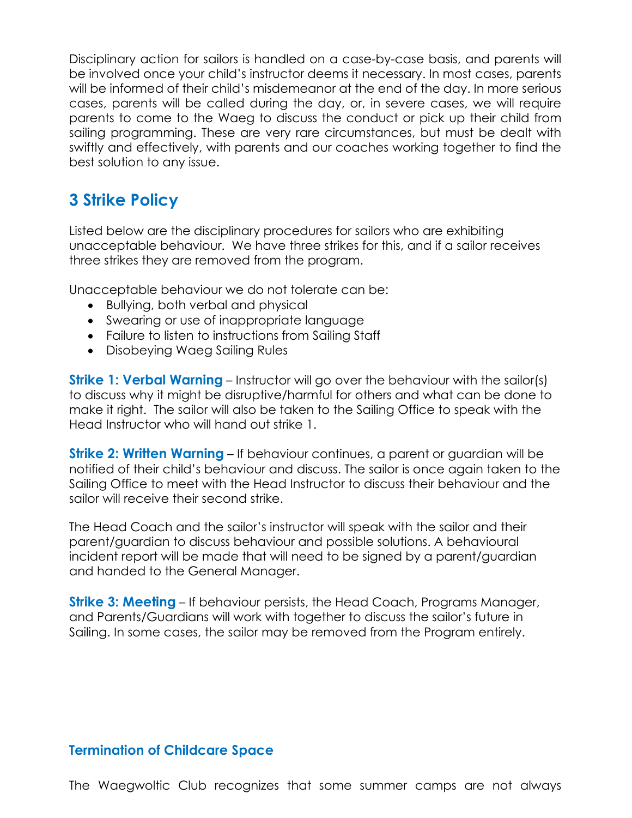Disciplinary action for sailors is handled on a case-by-case basis, and parents will be involved once your child's instructor deems it necessary. In most cases, parents will be informed of their child's misdemeanor at the end of the day. In more serious cases, parents will be called during the day, or, in severe cases, we will require parents to come to the Waeg to discuss the conduct or pick up their child from sailing programming. These are very rare circumstances, but must be dealt with swiftly and effectively, with parents and our coaches working together to find the best solution to any issue.

# **3 Strike Policy**

Listed below are the disciplinary procedures for sailors who are exhibiting unacceptable behaviour. We have three strikes for this, and if a sailor receives three strikes they are removed from the program.

Unacceptable behaviour we do not tolerate can be:

- Bullying, both verbal and physical
- Swearing or use of inappropriate language
- Failure to listen to instructions from Sailing Staff
- Disobeying Waeg Sailing Rules

**Strike 1: Verbal Warning** – Instructor will go over the behaviour with the sailor(s) to discuss why it might be disruptive/harmful for others and what can be done to make it right. The sailor will also be taken to the Sailing Office to speak with the Head Instructor who will hand out strike 1.

**Strike 2: Written Warning** – If behaviour continues, a parent or guardian will be notified of their child's behaviour and discuss. The sailor is once again taken to the Sailing Office to meet with the Head Instructor to discuss their behaviour and the sailor will receive their second strike.

The Head Coach and the sailor's instructor will speak with the sailor and their parent/guardian to discuss behaviour and possible solutions. A behavioural incident report will be made that will need to be signed by a parent/guardian and handed to the General Manager.

**Strike 3: Meeting** – If behaviour persists, the Head Coach, Programs Manager, and Parents/Guardians will work with together to discuss the sailor's future in Sailing. In some cases, the sailor may be removed from the Program entirely.

#### **Termination of Childcare Space**